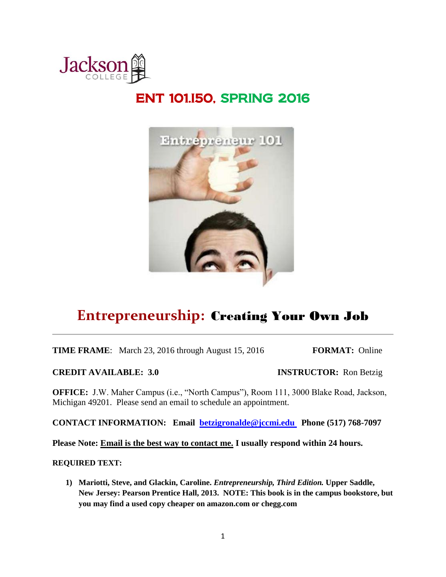

# ENT 101.I50, SPRING 2016



# **Entrepreneurship:** Creating Your Own Job

**TIME FRAME:** March 23, 2016 through August 15, 2016 **FORMAT:** Online

**CREDIT AVAILABLE: 3.0 INSTRUCTOR:** Ron Betzig

**OFFICE:** J.W. Maher Campus (i.e., "North Campus"), Room 111, 3000 Blake Road, Jackson, Michigan 49201. Please send an email to schedule an appointment.

**CONTACT INFORMATION: Email [betzigronalde@jccmi.edu](mailto:betzigronalde@jccmi.edu) Phone (517) 768-7097**

**Please Note: Email is the best way to contact me. I usually respond within 24 hours.** 

#### **REQUIRED TEXT:**

**1) Mariotti, Steve, and Glackin, Caroline.** *Entrepreneurship, Third Edition.* **Upper Saddle, New Jersey: Pearson Prentice Hall, 2013. NOTE: This book is in the campus bookstore, but you may find a used copy cheaper on amazon.com or chegg.com**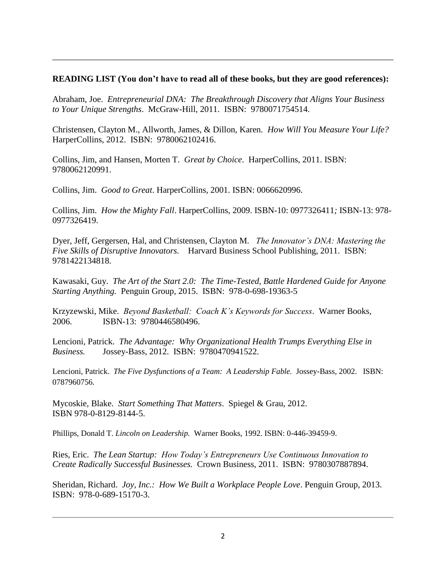### **READING LIST (You don't have to read all of these books, but they are good references):**

Abraham, Joe. *Entrepreneurial DNA: The Breakthrough Discovery that Aligns Your Business to Your Unique Strengths*. McGraw-Hill, 2011. ISBN: 9780071754514.

Christensen, Clayton M., Allworth, James, & Dillon, Karen. *How Will You Measure Your Life?* HarperCollins, 2012. ISBN: 9780062102416.

Collins, Jim, and Hansen, Morten T. *Great by Choice*. HarperCollins, 2011. ISBN: 9780062120991.

Collins, Jim. *Good to Great*. HarperCollins, 2001. ISBN: 0066620996.

Collins, Jim. *How the Mighty Fall*. HarperCollins, 2009. ISBN-10: 0977326411*;* ISBN-13: 978- 0977326419.

Dyer, Jeff, Gergersen, Hal, and Christensen, Clayton M. *The Innovator's DNA: Mastering the Five Skills of Disruptive Innovators.* Harvard Business School Publishing, 2011. ISBN: 9781422134818.

Kawasaki, Guy. *The Art of the Start 2.0: The Time-Tested, Battle Hardened Guide for Anyone Starting Anything.* Penguin Group, 2015. ISBN: 978-0-698-19363-5

Krzyzewski, Mike. *Beyond Basketball: Coach K's Keywords for Success*. Warner Books, 2006. ISBN-13: 9780446580496.

Lencioni, Patrick. *The Advantage: Why Organizational Health Trumps Everything Else in Business.* Jossey-Bass, 2012. ISBN: 9780470941522.

Lencioni, Patrick. *The Five Dysfunctions of a Team: A Leadership Fable.* Jossey-Bass, 2002. ISBN: 0787960756.

Mycoskie, Blake. *Start Something That Matters*. Spiegel & Grau, 2012. ISBN 978-0-8129-8144-5.

Phillips, Donald T. *Lincoln on Leadership.* Warner Books, 1992. ISBN: 0-446-39459-9.

Ries, Eric. *The Lean Startup: How Today's Entrepreneurs Use Continuous Innovation to Create Radically Successful Businesses.* Crown Business, 2011. ISBN: 9780307887894.

Sheridan, Richard. *Joy, Inc.: How We Built a Workplace People Love*. Penguin Group, 2013. ISBN: 978-0-689-15170-3.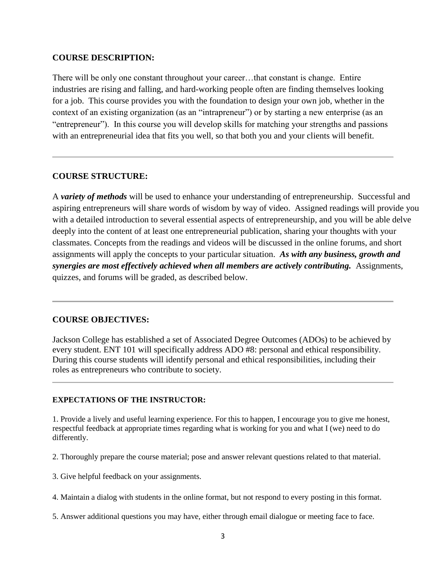#### **COURSE DESCRIPTION:**

There will be only one constant throughout your career…that constant is change. Entire industries are rising and falling, and hard-working people often are finding themselves looking for a job. This course provides you with the foundation to design your own job, whether in the context of an existing organization (as an "intrapreneur") or by starting a new enterprise (as an "entrepreneur"). In this course you will develop skills for matching your strengths and passions with an entrepreneurial idea that fits you well, so that both you and your clients will benefit.

### **COURSE STRUCTURE:**

A *variety of methods* will be used to enhance your understanding of entrepreneurship. Successful and aspiring entrepreneurs will share words of wisdom by way of video. Assigned readings will provide you with a detailed introduction to several essential aspects of entrepreneurship, and you will be able delve deeply into the content of at least one entrepreneurial publication, sharing your thoughts with your classmates. Concepts from the readings and videos will be discussed in the online forums, and short assignments will apply the concepts to your particular situation. *As with any business, growth and synergies are most effectively achieved when all members are actively contributing.* Assignments, quizzes, and forums will be graded, as described below.

### **COURSE OBJECTIVES:**

Jackson College has established a set of Associated Degree Outcomes (ADOs) to be achieved by every student. ENT 101 will specifically address ADO #8: personal and ethical responsibility. During this course students will identify personal and ethical responsibilities, including their roles as entrepreneurs who contribute to society.

#### **EXPECTATIONS OF THE INSTRUCTOR:**

1. Provide a lively and useful learning experience. For this to happen, I encourage you to give me honest, respectful feedback at appropriate times regarding what is working for you and what I (we) need to do differently.

2. Thoroughly prepare the course material; pose and answer relevant questions related to that material.

- 3. Give helpful feedback on your assignments.
- 4. Maintain a dialog with students in the online format, but not respond to every posting in this format.
- 5. Answer additional questions you may have, either through email dialogue or meeting face to face.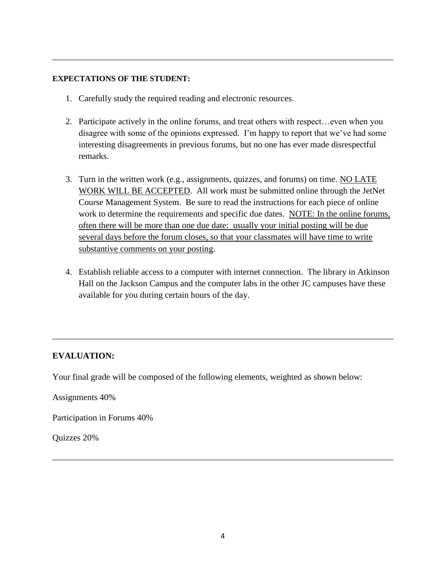#### **EXPECTATIONS OF THE STUDENT:**

- 1. Carefully study the required reading and electronic resources.
- 2. Participate actively in the online forums, and treat others with respect…even when you disagree with some of the opinions expressed. I'm happy to report that we've had some interesting disagreements in previous forums, but no one has ever made disrespectful remarks.
- 3. Turn in the written work (e.g., assignments, quizzes, and forums) on time. NO LATE WORK WILL BE ACCEPTED. All work must be submitted online through the JetNet Course Management System. Be sure to read the instructions for each piece of online work to determine the requirements and specific due dates. NOTE: In the online forums, often there will be more than one due date: usually your initial posting will be due several days before the forum closes, so that your classmates will have time to write substantive comments on your posting.
- 4. Establish reliable access to a computer with internet connection. The library in Atkinson Hall on the Jackson Campus and the computer labs in the other JC campuses have these available for you during certain hours of the day.

## **EVALUATION:**

Your final grade will be composed of the following elements, weighted as shown below:

Assignments 40%

Participation in Forums 40%

Quizzes 20%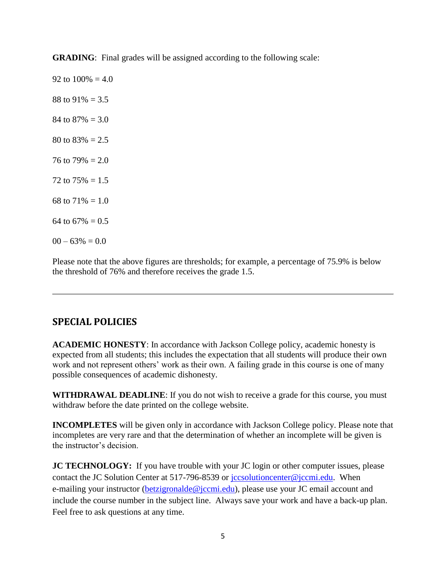**GRADING:** Final grades will be assigned according to the following scale:

92 to  $100\% = 4.0$ 88 to  $91\% = 3.5$ 84 to  $87\% = 3.0$ 80 to  $83\% = 2.5$ 76 to  $79\% = 2.0$ 72 to  $75\% = 1.5$ 68 to  $71\% = 1.0$ 64 to  $67\% = 0.5$  $00 - 63\% = 0.0$ 

Please note that the above figures are thresholds; for example, a percentage of 75.9% is below the threshold of 76% and therefore receives the grade 1.5.

# **SPECIAL POLICIES**

**ACADEMIC HONESTY**: In accordance with Jackson College policy, academic honesty is expected from all students; this includes the expectation that all students will produce their own work and not represent others' work as their own. A failing grade in this course is one of many possible consequences of academic dishonesty.

**WITHDRAWAL DEADLINE**: If you do not wish to receive a grade for this course, you must withdraw before the date printed on the college website.

**INCOMPLETES** will be given only in accordance with Jackson College policy. Please note that incompletes are very rare and that the determination of whether an incomplete will be given is the instructor's decision.

**JC TECHNOLOGY:** If you have trouble with your JC login or other computer issues, please contact the JC Solution Center at 517-796-8539 or [jccsolutioncenter@jccmi.edu.](jccsolutioncenter@jccmi.edu) When e-mailing your instructor [\(betzigronalde@jccmi.edu\)](betzigronalde@jccmi.edu), please use your JC email account and include the course number in the subject line. Always save your work and have a back-up plan. Feel free to ask questions at any time.